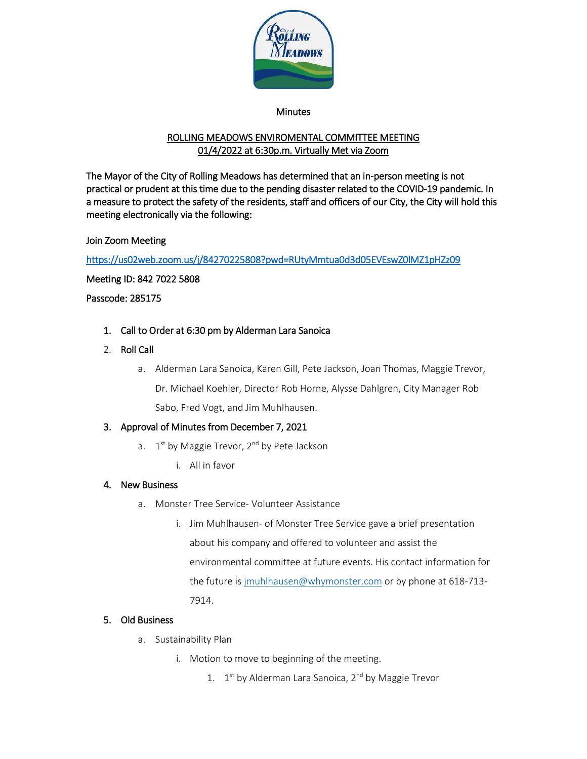

#### Minutes

# ROLLING MEADOWS ENVIROMENTAL COMMITTEE MEETING 01/4/2022 at 6:30p.m. Virtually Met via Zoom

The Mayor of the City of Rolling Meadows has determined that an in-person meeting is not practical or prudent at this time due to the pending disaster related to the COVID-19 pandemic. In a measure to protect the safety of the residents, staff and officers of our City, the City will hold this meeting electronically via the following:

## Join Zoom Meeting

<https://us02web.zoom.us/j/84270225808?pwd=RUtyMmtua0d3d05EVEswZ0lMZ1pHZz09>

Meeting ID: 842 7022 5808

Passcode: 285175

- 1. Call to Order at 6:30 pm by Alderman Lara Sanoica
- 2. Roll Call
	- a. Alderman Lara Sanoica, Karen Gill, Pete Jackson, Joan Thomas, Maggie Trevor,

Dr. Michael Koehler, Director Rob Horne, Alysse Dahlgren, City Manager Rob

Sabo, Fred Vogt, and Jim Muhlhausen.

## 3. Approval of Minutes from December 7, 2021

- a.  $1<sup>st</sup>$  by Maggie Trevor,  $2<sup>nd</sup>$  by Pete Jackson
	- i. All in favor

## 4. New Business

- a. Monster Tree Service- Volunteer Assistance
	- i. Jim Muhlhausen- of Monster Tree Service gave a brief presentation about his company and offered to volunteer and assist the environmental committee at future events. His contact information for the future i[s jmuhlhausen@whymonster.com](mailto:jmuhlhausen@whymonster.com) or by phone at 618-713-7914.

## 5. Old Business

- a. Sustainability Plan
	- i. Motion to move to beginning of the meeting.
		- 1.  $1<sup>st</sup>$  by Alderman Lara Sanoica,  $2<sup>nd</sup>$  by Maggie Trevor